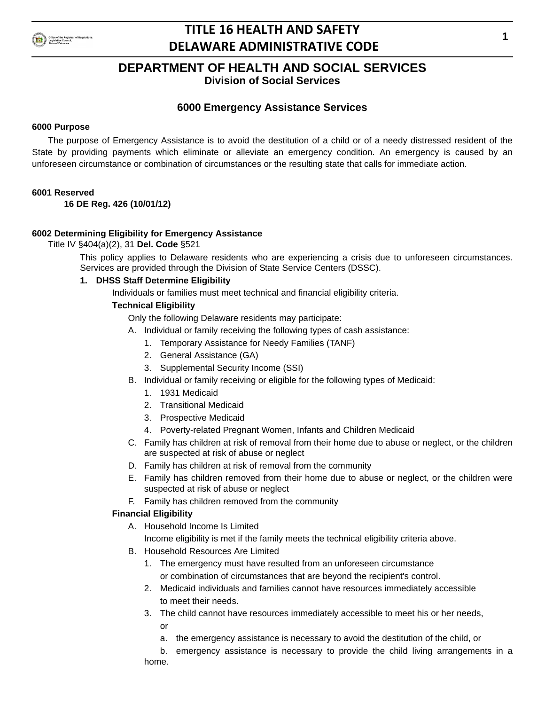

**Division of Social Services**

# **6000 Emergency Assistance Services**

## **6000 Purpose**

The purpose of Emergency Assistance is to avoid the destitution of a child or of a needy distressed resident of the State by providing payments which eliminate or alleviate an emergency condition. An emergency is caused by an unforeseen circumstance or combination of circumstances or the resulting state that calls for immediate action.

## **6001 Reserved**

**16 DE Reg. 426 (10/01/12)**

## **6002 Determining Eligibility for Emergency Assistance**

Title IV §404(a)(2), 31 **Del. Code** §521

This policy applies to Delaware residents who are experiencing a crisis due to unforeseen circumstances. Services are provided through the Division of State Service Centers (DSSC).

## **1. DHSS Staff Determine Eligibility**

Individuals or families must meet technical and financial eligibility criteria.

## **Technical Eligibility**

Only the following Delaware residents may participate:

- A. Individual or family receiving the following types of cash assistance:
	- 1. Temporary Assistance for Needy Families (TANF)
	- 2. General Assistance (GA)
	- 3. Supplemental Security Income (SSI)
- B. Individual or family receiving or eligible for the following types of Medicaid:
	- 1. 1931 Medicaid
	- 2. Transitional Medicaid
	- 3. Prospective Medicaid
	- 4. Poverty-related Pregnant Women, Infants and Children Medicaid
- C. Family has children at risk of removal from their home due to abuse or neglect, or the children are suspected at risk of abuse or neglect
- D. Family has children at risk of removal from the community
- E. Family has children removed from their home due to abuse or neglect, or the children were suspected at risk of abuse or neglect
- F. Family has children removed from the community

## **Financial Eligibility**

A. Household Income Is Limited

Income eligibility is met if the family meets the technical eligibility criteria above.

- B. Household Resources Are Limited
	- 1. The emergency must have resulted from an unforeseen circumstance or combination of circumstances that are beyond the recipient's control.
	- 2. Medicaid individuals and families cannot have resources immediately accessible to meet their needs.
	- 3. The child cannot have resources immediately accessible to meet his or her needs, or
		- a. the emergency assistance is necessary to avoid the destitution of the child, or

b. emergency assistance is necessary to provide the child living arrangements in a home.

**1**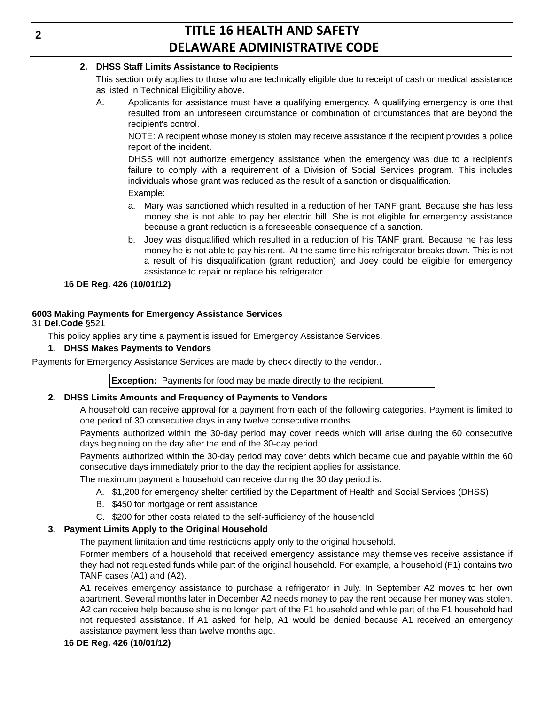## **2. DHSS Staff Limits Assistance to Recipients**

This section only applies to those who are technically eligible due to receipt of cash or medical assistance as listed in Technical Eligibility above.

A. Applicants for assistance must have a qualifying emergency. A qualifying emergency is one that resulted from an unforeseen circumstance or combination of circumstances that are beyond the recipient's control.

NOTE: A recipient whose money is stolen may receive assistance if the recipient provides a police report of the incident.

DHSS will not authorize emergency assistance when the emergency was due to a recipient's failure to comply with a requirement of a Division of Social Services program. This includes individuals whose grant was reduced as the result of a sanction or disqualification. Example:

- a. Mary was sanctioned which resulted in a reduction of her TANF grant. Because she has less money she is not able to pay her electric bill. She is not eligible for emergency assistance because a grant reduction is a foreseeable consequence of a sanction.
- b. Joey was disqualified which resulted in a reduction of his TANF grant. Because he has less money he is not able to pay his rent. At the same time his refrigerator breaks down. This is not a result of his disqualification (grant reduction) and Joey could be eligible for emergency assistance to repair or replace his refrigerator.

## **16 DE Reg. 426 (10/01/12)**

# **6003 Making Payments for Emergency Assistance Services**

31 **Del.Code** §521

This policy applies any time a payment is issued for Emergency Assistance Services.

## **1. DHSS Makes Payments to Vendors**

Payments for Emergency Assistance Services are made by check directly to the vendor..

**Exception:** Payments for food may be made directly to the recipient.

## **2. DHSS Limits Amounts and Frequency of Payments to Vendors**

A household can receive approval for a payment from each of the following categories. Payment is limited to one period of 30 consecutive days in any twelve consecutive months.

Payments authorized within the 30-day period may cover needs which will arise during the 60 consecutive days beginning on the day after the end of the 30-day period.

Payments authorized within the 30-day period may cover debts which became due and payable within the 60 consecutive days immediately prior to the day the recipient applies for assistance.

The maximum payment a household can receive during the 30 day period is:

- A. \$1,200 for emergency shelter certified by the Department of Health and Social Services (DHSS)
- B. \$450 for mortgage or rent assistance
- C. \$200 for other costs related to the self-sufficiency of the household

## **3. Payment Limits Apply to the Original Household**

The payment limitation and time restrictions apply only to the original household.

Former members of a household that received emergency assistance may themselves receive assistance if they had not requested funds while part of the original household. For example, a household (F1) contains two TANF cases (A1) and (A2).

A1 receives emergency assistance to purchase a refrigerator in July. In September A2 moves to her own apartment. Several months later in December A2 needs money to pay the rent because her money was stolen. A2 can receive help because she is no longer part of the F1 household and while part of the F1 household had not requested assistance. If A1 asked for help, A1 would be denied because A1 received an emergency assistance payment less than twelve months ago.

## **16 DE Reg. 426 (10/01/12)**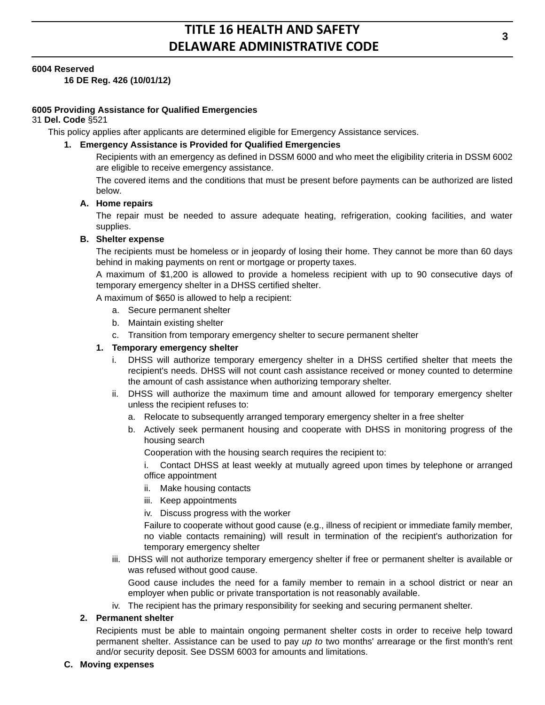## **6004 Reserved**

**16 DE Reg. 426 (10/01/12)**

## **6005 Providing Assistance for Qualified Emergencies**

## 31 **Del. Code** §521

This policy applies after applicants are determined eligible for Emergency Assistance services.

## **1. Emergency Assistance is Provided for Qualified Emergencies**

Recipients with an emergency as defined in DSSM 6000 and who meet the eligibility criteria in DSSM 6002 are eligible to receive emergency assistance.

The covered items and the conditions that must be present before payments can be authorized are listed below.

## **A. Home repairs**

The repair must be needed to assure adequate heating, refrigeration, cooking facilities, and water supplies.

## **B. Shelter expense**

The recipients must be homeless or in jeopardy of losing their home. They cannot be more than 60 days behind in making payments on rent or mortgage or property taxes.

A maximum of \$1,200 is allowed to provide a homeless recipient with up to 90 consecutive days of temporary emergency shelter in a DHSS certified shelter.

A maximum of \$650 is allowed to help a recipient:

- a. Secure permanent shelter
- b. Maintain existing shelter
- c. Transition from temporary emergency shelter to secure permanent shelter

## **1. Temporary emergency shelter**

- i. DHSS will authorize temporary emergency shelter in a DHSS certified shelter that meets the recipient's needs. DHSS will not count cash assistance received or money counted to determine the amount of cash assistance when authorizing temporary shelter.
- ii. DHSS will authorize the maximum time and amount allowed for temporary emergency shelter unless the recipient refuses to:
	- a. Relocate to subsequently arranged temporary emergency shelter in a free shelter
	- b. Actively seek permanent housing and cooperate with DHSS in monitoring progress of the housing search

Cooperation with the housing search requires the recipient to:

i. Contact DHSS at least weekly at mutually agreed upon times by telephone or arranged office appointment

- ii. Make housing contacts
- iii. Keep appointments

iv. Discuss progress with the worker

Failure to cooperate without good cause (e.g., illness of recipient or immediate family member, no viable contacts remaining) will result in termination of the recipient's authorization for temporary emergency shelter

iii. DHSS will not authorize temporary emergency shelter if free or permanent shelter is available or was refused without good cause.

Good cause includes the need for a family member to remain in a school district or near an employer when public or private transportation is not reasonably available.

iv. The recipient has the primary responsibility for seeking and securing permanent shelter.

## **2. Permanent shelter**

Recipients must be able to maintain ongoing permanent shelter costs in order to receive help toward permanent shelter. Assistance can be used to pay *up to* two months' arrearage or the first month's rent and/or security deposit. See DSSM 6003 for amounts and limitations.

#### **C. Moving expenses**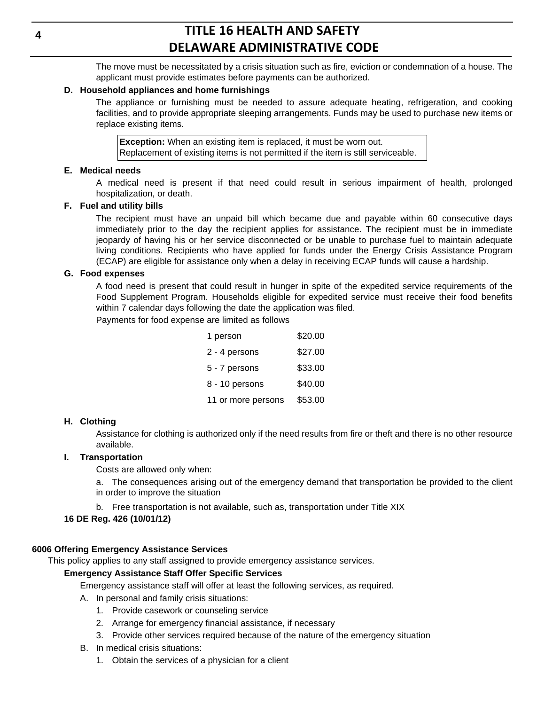The move must be necessitated by a crisis situation such as fire, eviction or condemnation of a house. The applicant must provide estimates before payments can be authorized.

### **D. Household appliances and home furnishings**

The appliance or furnishing must be needed to assure adequate heating, refrigeration, and cooking facilities, and to provide appropriate sleeping arrangements. Funds may be used to purchase new items or replace existing items.

**Exception:** When an existing item is replaced, it must be worn out. Replacement of existing items is not permitted if the item is still serviceable.

#### **E. Medical needs**

A medical need is present if that need could result in serious impairment of health, prolonged hospitalization, or death.

#### **F. Fuel and utility bills**

The recipient must have an unpaid bill which became due and payable within 60 consecutive days immediately prior to the day the recipient applies for assistance. The recipient must be in immediate jeopardy of having his or her service disconnected or be unable to purchase fuel to maintain adequate living conditions. Recipients who have applied for funds under the Energy Crisis Assistance Program (ECAP) are eligible for assistance only when a delay in receiving ECAP funds will cause a hardship.

#### **G. Food expenses**

A food need is present that could result in hunger in spite of the expedited service requirements of the Food Supplement Program. Households eligible for expedited service must receive their food benefits within 7 calendar days following the date the application was filed.

Payments for food expense are limited as follows

| 1 person           | \$20.00 |
|--------------------|---------|
| 2 - 4 persons      | \$27.00 |
| 5 - 7 persons      | \$33.00 |
| 8 - 10 persons     | \$40.00 |
| 11 or more persons | \$53.00 |

## **H. Clothing**

Assistance for clothing is authorized only if the need results from fire or theft and there is no other resource available.

#### **I. Transportation**

Costs are allowed only when:

a. The consequences arising out of the emergency demand that transportation be provided to the client in order to improve the situation

b. Free transportation is not available, such as, transportation under Title XIX

## **16 DE Reg. 426 (10/01/12)**

## **6006 Offering Emergency Assistance Services**

This policy applies to any staff assigned to provide emergency assistance services.

## **Emergency Assistance Staff Offer Specific Services**

Emergency assistance staff will offer at least the following services, as required.

A. In personal and family crisis situations:

- 1. Provide casework or counseling service
- 2. Arrange for emergency financial assistance, if necessary
- 3. Provide other services required because of the nature of the emergency situation
- B. In medical crisis situations:
	- 1. Obtain the services of a physician for a client

**4**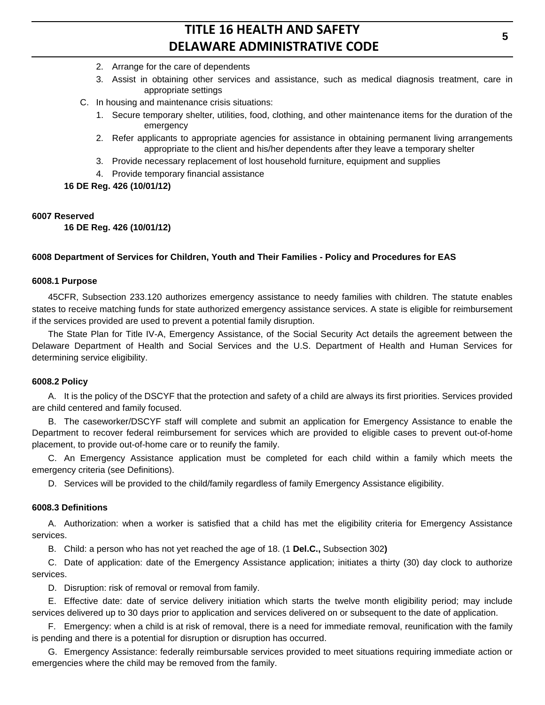- 2. Arrange for the care of dependents
- 3. Assist in obtaining other services and assistance, such as medical diagnosis treatment, care in appropriate settings
- C. In housing and maintenance crisis situations:
	- 1. Secure temporary shelter, utilities, food, clothing, and other maintenance items for the duration of the emergency
	- 2. Refer applicants to appropriate agencies for assistance in obtaining permanent living arrangements appropriate to the client and his/her dependents after they leave a temporary shelter
	- 3. Provide necessary replacement of lost household furniture, equipment and supplies
	- 4. Provide temporary financial assistance

**16 DE Reg. 426 (10/01/12)**

#### **6007 Reserved**

**16 DE Reg. 426 (10/01/12)**

## **6008 Department of Services for Children, Youth and Their Families - Policy and Procedures for EAS**

#### **6008.1 Purpose**

45CFR, Subsection 233.120 authorizes emergency assistance to needy families with children. The statute enables states to receive matching funds for state authorized emergency assistance services. A state is eligible for reimbursement if the services provided are used to prevent a potential family disruption.

The State Plan for Title IV-A, Emergency Assistance, of the Social Security Act details the agreement between the Delaware Department of Health and Social Services and the U.S. Department of Health and Human Services for determining service eligibility.

#### **6008.2 Policy**

A. It is the policy of the DSCYF that the protection and safety of a child are always its first priorities. Services provided are child centered and family focused.

B. The caseworker/DSCYF staff will complete and submit an application for Emergency Assistance to enable the Department to recover federal reimbursement for services which are provided to eligible cases to prevent out-of-home placement, to provide out-of-home care or to reunify the family.

C. An Emergency Assistance application must be completed for each child within a family which meets the emergency criteria (see Definitions).

D. Services will be provided to the child/family regardless of family Emergency Assistance eligibility.

#### **6008.3 Definitions**

A. Authorization: when a worker is satisfied that a child has met the eligibility criteria for Emergency Assistance services.

B. Child: a person who has not yet reached the age of 18. (1 **Del.C.,** Subsection 302**)**

C. Date of application: date of the Emergency Assistance application; initiates a thirty (30) day clock to authorize services.

D. Disruption: risk of removal or removal from family.

E. Effective date: date of service delivery initiation which starts the twelve month eligibility period; may include services delivered up to 30 days prior to application and services delivered on or subsequent to the date of application.

F. Emergency: when a child is at risk of removal, there is a need for immediate removal, reunification with the family is pending and there is a potential for disruption or disruption has occurred.

G. Emergency Assistance: federally reimbursable services provided to meet situations requiring immediate action or emergencies where the child may be removed from the family.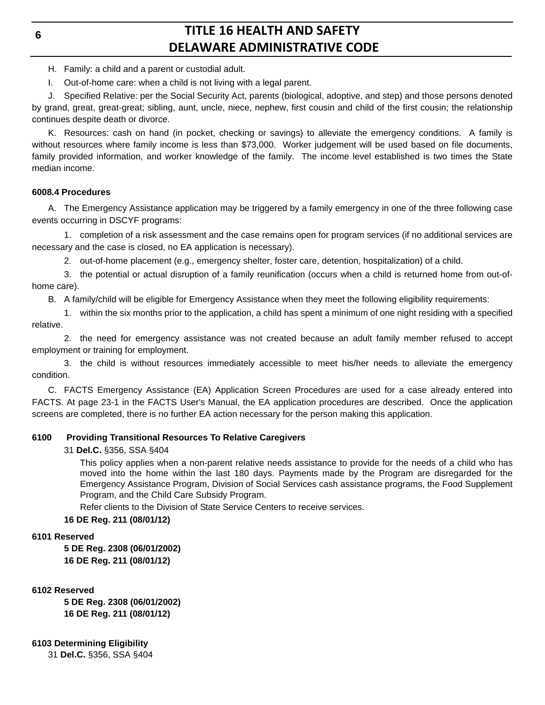## **6**

# **TITLE 16 HEALTH AND SAFETY DELAWARE ADMINISTRATIVE CODE**

- H. Family: a child and a parent or custodial adult.
- I. Out-of-home care: when a child is not living with a legal parent.

J. Specified Relative: per the Social Security Act, parents (biological, adoptive, and step) and those persons denoted by grand, great, great-great; sibling, aunt, uncle, niece, nephew, first cousin and child of the first cousin; the relationship continues despite death or divorce.

K. Resources: cash on hand (in pocket, checking or savings) to alleviate the emergency conditions. A family is without resources where family income is less than \$73,000. Worker judgement will be used based on file documents, family provided information, and worker knowledge of the family. The income level established is two times the State median income.

## **6008.4 Procedures**

A. The Emergency Assistance application may be triggered by a family emergency in one of the three following case events occurring in DSCYF programs:

1. completion of a risk assessment and the case remains open for program services (if no additional services are necessary and the case is closed, no EA application is necessary).

2. out-of-home placement (e.g., emergency shelter, foster care, detention, hospitalization) of a child.

3. the potential or actual disruption of a family reunification (occurs when a child is returned home from out-ofhome care).

B. A family/child will be eligible for Emergency Assistance when they meet the following eligibility requirements:

1. within the six months prior to the application, a child has spent a minimum of one night residing with a specified relative.

2. the need for emergency assistance was not created because an adult family member refused to accept employment or training for employment.

3. the child is without resources immediately accessible to meet his/her needs to alleviate the emergency condition.

C. FACTS Emergency Assistance (EA) Application Screen Procedures are used for a case already entered into FACTS. At page 23-1 in the FACTS User's Manual, the EA application procedures are described. Once the application screens are completed, there is no further EA action necessary for the person making this application.

# **6100 Providing Transitional Resources To Relative Caregivers**

31 **Del.C.** §356, SSA §404

This policy applies when a non-parent relative needs assistance to provide for the needs of a child who has moved into the home within the last 180 days. Payments made by the Program are disregarded for the Emergency Assistance Program, Division of Social Services cash assistance programs, the Food Supplement Program, and the Child Care Subsidy Program.

Refer clients to the Division of State Service Centers to receive services.

**16 DE Reg. 211 (08/01/12)**

# **6101 Reserved**

**5 DE Reg. 2308 (06/01/2002) 16 DE Reg. 211 (08/01/12)**

## **6102 Reserved**

**5 DE Reg. 2308 (06/01/2002) 16 DE Reg. 211 (08/01/12)**

**6103 Determining Eligibility**

31 **Del.C.** §356, SSA §404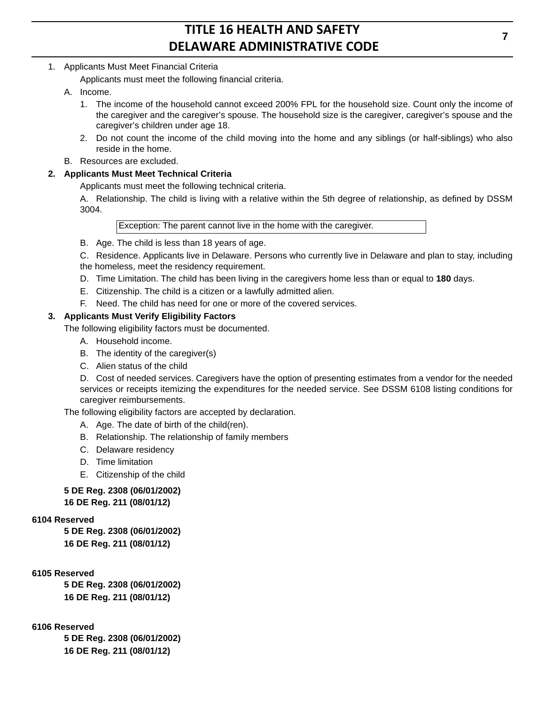# 1. Applicants Must Meet Financial Criteria

Applicants must meet the following financial criteria.

- A. Income.
	- 1. The income of the household cannot exceed 200% FPL for the household size. Count only the income of the caregiver and the caregiver's spouse. The household size is the caregiver, caregiver's spouse and the caregiver's children under age 18.
	- 2. Do not count the income of the child moving into the home and any siblings (or half-siblings) who also reside in the home.
- B. Resources are excluded.

# **2. Applicants Must Meet Technical Criteria**

Applicants must meet the following technical criteria.

A. Relationship. The child is living with a relative within the 5th degree of relationship, as defined by DSSM 3004.

Exception: The parent cannot live in the home with the caregiver.

B. Age. The child is less than 18 years of age.

C. Residence. Applicants live in Delaware. Persons who currently live in Delaware and plan to stay, including the homeless, meet the residency requirement.

- D. Time Limitation. The child has been living in the caregivers home less than or equal to **180** days.
- E. Citizenship. The child is a citizen or a lawfully admitted alien.
- F. Need. The child has need for one or more of the covered services.

## **3. Applicants Must Verify Eligibility Factors**

The following eligibility factors must be documented.

- A. Household income.
- B. The identity of the caregiver(s)
- C. Alien status of the child

D. Cost of needed services. Caregivers have the option of presenting estimates from a vendor for the needed services or receipts itemizing the expenditures for the needed service. See DSSM 6108 listing conditions for caregiver reimbursements.

The following eligibility factors are accepted by declaration.

- A. Age. The date of birth of the child(ren).
- B. Relationship. The relationship of family members
- C. Delaware residency
- D. Time limitation
- E. Citizenship of the child

## **5 DE Reg. 2308 (06/01/2002) 16 DE Reg. 211 (08/01/12)**

## **6104 Reserved**

**5 DE Reg. 2308 (06/01/2002) 16 DE Reg. 211 (08/01/12)**

# **6105 Reserved**

**5 DE Reg. 2308 (06/01/2002) 16 DE Reg. 211 (08/01/12)**

## **6106 Reserved**

**5 DE Reg. 2308 (06/01/2002) 16 DE Reg. 211 (08/01/12)**